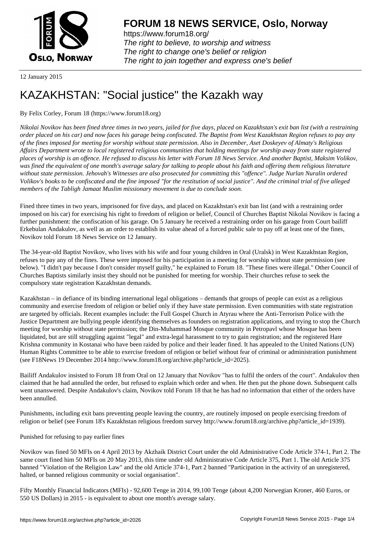

https://www.forum18.org/ The right to believe, to worship and witness The right to change one's belief or religion [The right to join together a](https://www.forum18.org/)nd express one's belief

12 January 2015

# [KAZAKHSTAN:](https://www.forum18.org) "Social justice" the Kazakh way

By Felix Corley, Forum 18 (https://www.forum18.org)

*Nikolai Novikov has been fined three times in two years, jailed for five days, placed on Kazakhstan's exit ban list (with a restraining order placed on his car) and now faces his garage being confiscated. The Baptist from West Kazakhstan Region refuses to pay any of the fines imposed for meeting for worship without state permission. Also in December, Aset Doskeyev of Almaty's Religious Affairs Department wrote to local registered religious communities that holding meetings for worship away from state registered places of worship is an offence. He refused to discuss his letter with Forum 18 News Service. And another Baptist, Maksim Volikov, was fined the equivalent of one month's average salary for talking to people about his faith and offering them religious literature without state permission. Jehovah's Witnesses are also prosecuted for committing this "offence". Judge Nurlan Nuralin ordered Volikov's books to be confiscated and the fine imposed "for the restitution of social justice". And the criminal trial of five alleged members of the Tabligh Jamaat Muslim missionary movement is due to conclude soon.*

Fined three times in two years, imprisoned for five days, and placed on Kazakhstan's exit ban list (and with a restraining order imposed on his car) for exercising his right to freedom of religion or belief, Council of Churches Baptist Nikolai Novikov is facing a further punishment: the confiscation of his garage. On 5 January he received a restraining order on his garage from Court bailiff Erkebulan Andakulov, as well as an order to establish its value ahead of a forced public sale to pay off at least one of the fines, Novikov told Forum 18 News Service on 12 January.

The 34-year-old Baptist Novikov, who lives with his wife and four young children in Oral (Uralsk) in West Kazakhstan Region, refuses to pay any of the fines. These were imposed for his participation in a meeting for worship without state permission (see below). "I didn't pay because I don't consider myself guilty," he explained to Forum 18. "These fines were illegal." Other Council of Churches Baptists similarly insist they should not be punished for meeting for worship. Their churches refuse to seek the compulsory state registration Kazakhstan demands.

Kazakhstan – in defiance of its binding international legal obligations – demands that groups of people can exist as a religious community and exercise freedom of religion or belief only if they have state permission. Even communities with state registration are targeted by officials. Recent examples include: the Full Gospel Church in Atyrau where the Anti-Terrorism Police with the Justice Department are bullying people identifying themselves as founders on registration applications, and trying to stop the Church meeting for worship without state permission; the Din-Muhammad Mosque community in Petropavl whose Mosque has been liquidated, but are still struggling against "legal" and extra-legal harassment to try to gain registration; and the registered Hare Krishna community in Kostanai who have been raided by police and their leader fined. It has appealed to the United Nations (UN) Human Rights Committee to be able to exercise freedom of religion or belief without fear of criminal or administration punishment (see F18News 19 December 2014 http://www.forum18.org/archive.php?article\_id=2025).

Bailiff Andakulov insisted to Forum 18 from Oral on 12 January that Novikov "has to fulfil the orders of the court". Andakulov then claimed that he had annulled the order, but refused to explain which order and when. He then put the phone down. Subsequent calls went unanswered. Despite Andakulov's claim, Novikov told Forum 18 that he has had no information that either of the orders have been annulled.

Punishments, including exit bans preventing people leaving the country, are routinely imposed on people exercising freedom of religion or belief (see Forum 18's Kazakhstan religious freedom survey http://www.forum18.org/archive.php?article\_id=1939).

Punished for refusing to pay earlier fines

Novikov was fined 50 MFIs on 4 April 2013 by Akzhaik District Court under the old Administrative Code Article 374-1, Part 2. The same court fined him 50 MFIs on 20 May 2013, this time under old Administrative Code Article 375, Part 1. The old Article 375 banned "Violation of the Religion Law" and the old Article 374-1, Part 2 banned "Participation in the activity of an unregistered, halted, or banned religious community or social organisation".

Fifty Monthly Financial Indicators (MFIs) - 92,600 Tenge in 2014, 99,100 Tenge (about 4,200 Norwegian Kroner, 460 Euros, or 550 US Dollars) in 2015 - is equivalent to about one month's average salary.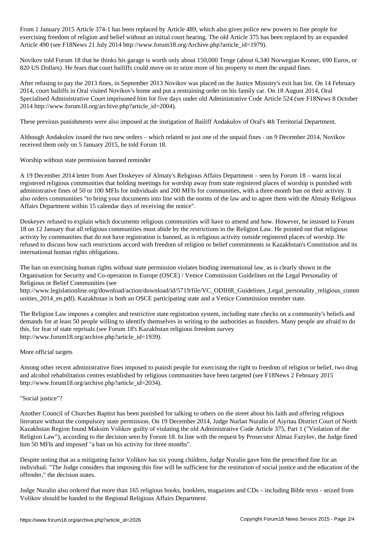From 1 January 2015 Article 374-1 has been replaced by Article 489, which also gives police new powers to fine people for exercising freedom of religion and belief without an initial court hearing. The old Article 375 has been replaced by an expanded Article 490 (see F18News 21 July 2014 http://www.forum18.org/Archive.php?article\_id=1979).

Novikov told Forum 18 that he thinks his garage is worth only about 150,000 Tenge (about 6,340 Norwegian Kroner, 690 Euros, or 820 US Dollars). He fears that court bailiffs could move on to seize more of his property to meet the unpaid fines.

After refusing to pay the 2013 fines, in September 2013 Novikov was placed on the Justice Ministry's exit ban list. On 14 February 2014, court bailiffs in Oral visited Novikov's home and put a restraining order on his family car. On 18 August 2014, Oral Specialised Administrative Court imprisoned him for five days under old Administrative Code Article 524 (see F18News 8 October 2014 http://www.forum18.org/archive.php?article\_id=2004).

These previous punishments were also imposed at the instigation of Bailiff Andakulov of Oral's 4th Territorial Department.

Although Andakulov issued the two new orders – which related to just one of the unpaid fines - on 9 December 2014, Novikov received them only on 5 January 2015, he told Forum 18.

Worship without state permission banned reminder

A 19 December 2014 letter from Aset Doskeyev of Almaty's Religious Affairs Department – seen by Forum 18 – warns local registered religious communities that holding meetings for worship away from state registered places of worship is punished with administrative fines of 50 or 100 MFIs for individuals and 200 MFIs for communities, with a three-month ban on their activity. It also orders communities "to bring your documents into line with the norms of the law and to agree them with the Almaty Religious Affairs Department within 15 calendar days of receiving the notice".

Doskeyev refused to explain which documents religious communities will have to amend and how. However, he insisted to Forum 18 on 12 January that all religious communities must abide by the restrictions in the Religion Law. He pointed out that religious activity by communities that do not have registration is banned, as is religious activity outside registered places of worship. He refused to discuss how such restrictions accord with freedom of religion or belief commitments in Kazakhstan's Constitution and its international human rights obligations.

The ban on exercising human rights without state permission violates binding international law, as is clearly shown in the Organisation for Security and Co-operation in Europe (OSCE) / Venice Commission Guidelines on the Legal Personality of Religious or Belief Communities (see

http://www.legislationline.org/download/action/download/id/5719/file/VC\_ODIHR\_Guidelines\_Legal\_personality\_religious\_comm unities\_2014\_en.pdf). Kazakhstan is both an OSCE participating state and a Venice Commission member state.

The Religion Law imposes a complex and restrictive state registration system, including state checks on a community's beliefs and demands for at least 50 people willing to identify themselves in writing to the authorities as founders. Many people are afraid to do this, for fear of state reprisals (see Forum 18's Kazakhstan religious freedom survey http://www.forum18.org/archive.php?article\_id=1939).

# More official targets

Among other recent administrative fines imposed to punish people for exercising the right to freedom of religion or belief, two drug and alcohol rehabilitation centres established by religious communities have been targeted (see F18News 2 February 2015 http://www.forum18.org/archive.php?article\_id=2034).

### "Social justice"?

Another Council of Churches Baptist has been punished for talking to others on the street about his faith and offering religious literature without the compulsory state permission. On 19 December 2014, Judge Nurlan Nuralin of Aiyrtau District Court of North Kazakhstan Region found Maksim Volikov guilty of violating the old Administrative Code Article 375, Part 1 ("Violation of the Religion Law"), according to the decision seen by Forum 18. In line with the request by Prosecutor Almaz Fazylov, the Judge fined him 50 MFIs and imposed "a ban on his activity for three months".

Despite noting that as a mitigating factor Volikov has six young children, Judge Nuralin gave him the prescribed fine for an individual. "The Judge considers that imposing this fine will be sufficient for the restitution of social justice and the education of the offender," the decision states.

Judge Nuralin also ordered that more than 165 religious books, booklets, magazines and CDs – including Bible texts - seized from Volikov should be handed to the Regional Religious Affairs Department.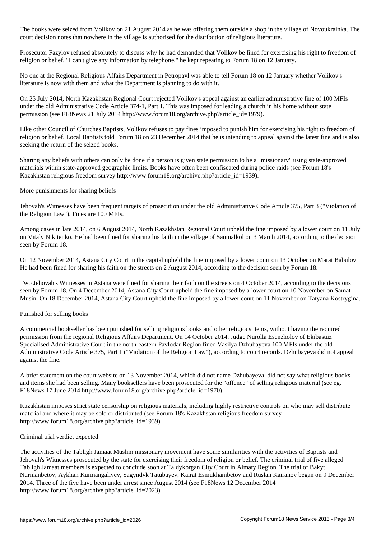The books were seized from Volikov on 21 August 2014 as he was offering them outside a shop in the village of Novoukrainka. The court decision notes that nowhere in the village is authorised for the distribution of religious literature.

Prosecutor Fazylov refused absolutely to discuss why he had demanded that Volikov be fined for exercising his right to freedom of religion or belief. "I can't give any information by telephone," he kept repeating to Forum 18 on 12 January.

No one at the Regional Religious Affairs Department in Petropavl was able to tell Forum 18 on 12 January whether Volikov's literature is now with them and what the Department is planning to do with it.

On 25 July 2014, North Kazakhstan Regional Court rejected Volikov's appeal against an earlier administrative fine of 100 MFIs under the old Administrative Code Article 374-1, Part 1. This was imposed for leading a church in his home without state permission (see F18News 21 July 2014 http://www.forum18.org/archive.php?article\_id=1979).

Like other Council of Churches Baptists, Volikov refuses to pay fines imposed to punish him for exercising his right to freedom of religion or belief. Local Baptists told Forum 18 on 23 December 2014 that he is intending to appeal against the latest fine and is also seeking the return of the seized books.

Sharing any beliefs with others can only be done if a person is given state permission to be a "missionary" using state-approved materials within state-approved geographic limits. Books have often been confiscated during police raids (see Forum 18's Kazakhstan religious freedom survey http://www.forum18.org/archive.php?article\_id=1939).

More punishments for sharing beliefs

Jehovah's Witnesses have been frequent targets of prosecution under the old Administrative Code Article 375, Part 3 ("Violation of the Religion Law"). Fines are 100 MFIs.

Among cases in late 2014, on 6 August 2014, North Kazakhstan Regional Court upheld the fine imposed by a lower court on 11 July on Vitaly Nikitenko. He had been fined for sharing his faith in the village of Saumalkol on 3 March 2014, according to the decision seen by Forum 18.

On 12 November 2014, Astana City Court in the capital upheld the fine imposed by a lower court on 13 October on Marat Babulov. He had been fined for sharing his faith on the streets on 2 August 2014, according to the decision seen by Forum 18.

Two Jehovah's Witnesses in Astana were fined for sharing their faith on the streets on 4 October 2014, according to the decisions seen by Forum 18. On 4 December 2014, Astana City Court upheld the fine imposed by a lower court on 10 November on Samat Musin. On 18 December 2014, Astana City Court upheld the fine imposed by a lower court on 11 November on Tatyana Kostrygina.

# Punished for selling books

A commercial bookseller has been punished for selling religious books and other religious items, without having the required permission from the regional Religious Affairs Department. On 14 October 2014, Judge Nurolla Esenzholov of Ekibastuz Specialised Administrative Court in the north-eastern Pavlodar Region fined Vasilya Dzhubayeva 100 MFIs under the old Administrative Code Article 375, Part 1 ("Violation of the Religion Law"), according to court records. Dzhubayeva did not appeal against the fine.

A brief statement on the court website on 13 November 2014, which did not name Dzhubayeva, did not say what religious books and items she had been selling. Many booksellers have been prosecuted for the "offence" of selling religious material (see eg. F18News 17 June 2014 http://www.forum18.org/archive.php?article\_id=1970).

Kazakhstan imposes strict state censorship on religious materials, including highly restrictive controls on who may sell distribute material and where it may be sold or distributed (see Forum 18's Kazakhstan religious freedom survey http://www.forum18.org/archive.php?article\_id=1939).

# Criminal trial verdict expected

The activities of the Tabligh Jamaat Muslim missionary movement have some similarities with the activities of Baptists and Jehovah's Witnesses prosecuted by the state for exercising their freedom of religion or belief. The criminal trial of five alleged Tabligh Jamaat members is expected to conclude soon at Taldykorgan City Court in Almaty Region. The trial of Bakyt Nurmanbetov, Aykhan Kurmangaliyev, Sagyndyk Tatubayev, Kairat Esmukhambetov and Ruslan Kairanov began on 9 December 2014. Three of the five have been under arrest since August 2014 (see F18News 12 December 2014 http://www.forum18.org/archive.php?article\_id=2023).